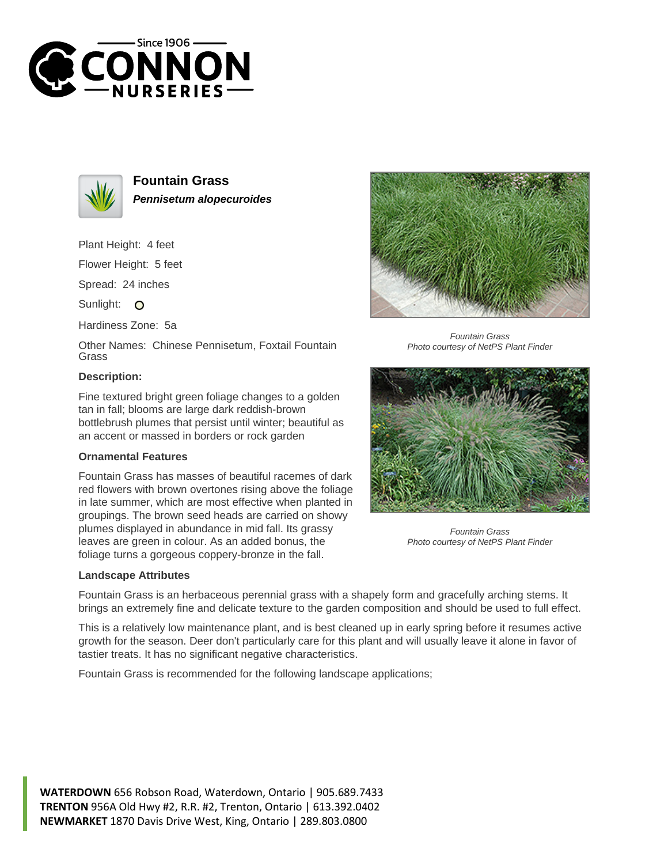



**Fountain Grass Pennisetum alopecuroides**

Plant Height: 4 feet

Flower Height: 5 feet

Spread: 24 inches

Sunlight: O

Hardiness Zone: 5a

Other Names: Chinese Pennisetum, Foxtail Fountain Grass

## **Description:**

Fine textured bright green foliage changes to a golden tan in fall; blooms are large dark reddish-brown bottlebrush plumes that persist until winter; beautiful as an accent or massed in borders or rock garden

## **Ornamental Features**

Fountain Grass has masses of beautiful racemes of dark red flowers with brown overtones rising above the foliage in late summer, which are most effective when planted in groupings. The brown seed heads are carried on showy plumes displayed in abundance in mid fall. Its grassy leaves are green in colour. As an added bonus, the foliage turns a gorgeous coppery-bronze in the fall.

## **Landscape Attributes**



Fountain Grass Photo courtesy of NetPS Plant Finder



Fountain Grass Photo courtesy of NetPS Plant Finder

Fountain Grass is an herbaceous perennial grass with a shapely form and gracefully arching stems. It brings an extremely fine and delicate texture to the garden composition and should be used to full effect.

This is a relatively low maintenance plant, and is best cleaned up in early spring before it resumes active growth for the season. Deer don't particularly care for this plant and will usually leave it alone in favor of tastier treats. It has no significant negative characteristics.

Fountain Grass is recommended for the following landscape applications;

**WATERDOWN** 656 Robson Road, Waterdown, Ontario | 905.689.7433 **TRENTON** 956A Old Hwy #2, R.R. #2, Trenton, Ontario | 613.392.0402 **NEWMARKET** 1870 Davis Drive West, King, Ontario | 289.803.0800